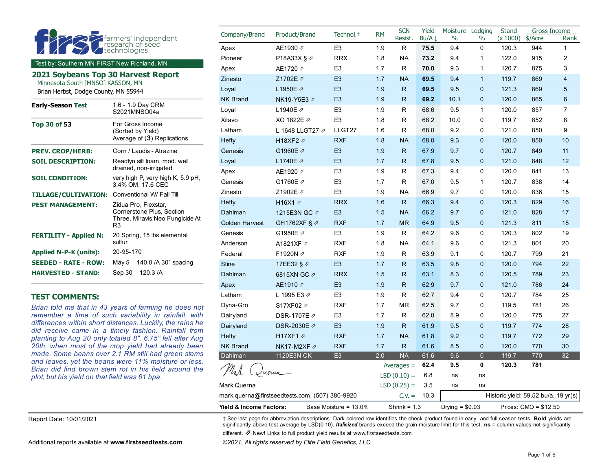|                                                                           |                                                          | Company/Brand         | Product/Brand                           | Technol. <sup>+</sup> | <b>RM</b> | <b>SCN</b><br>Resist. | Yield<br>$Bu/A \perp$ | Moisture<br>$\%$ | Lodging<br>$\%$ | Stand<br>(x 1000) | Gross Income<br>\$/Acre | Rank           |
|---------------------------------------------------------------------------|----------------------------------------------------------|-----------------------|-----------------------------------------|-----------------------|-----------|-----------------------|-----------------------|------------------|-----------------|-------------------|-------------------------|----------------|
|                                                                           | farmers' independent<br>research of seed<br>technologies | Apex                  | AE1930 2                                | E <sub>3</sub>        | 1.9       | R                     | 75.5                  | 9.4              | $\mathbf 0$     | 120.3             | 944                     | 1              |
|                                                                           |                                                          | Pioneer               | P18A33X § 2                             | <b>RRX</b>            | 1.8       | <b>NA</b>             | 73.2                  | 9.4              | $\mathbf{1}$    | 122.0             | 915                     | 2              |
| Test by: Southern MN FIRST New Richland, MN                               |                                                          | Apex                  | AE1720 2                                | E <sub>3</sub>        | 1.7       | R                     | 70.0                  | 9.3              | $\mathbf{1}$    | 120.7             | 875                     | 3              |
| 2021 Soybeans Top 30 Harvest Report                                       |                                                          | Zinesto               | Z1702E 2                                | E <sub>3</sub>        | 1.7       | <b>NA</b>             | 69.5                  | 9.4              | $\mathbf{1}$    | 119.7             | 869                     | $\overline{4}$ |
| Minnesota South [MNSO] KASSON, MN<br>Brian Herbst, Dodge County, MN 55944 |                                                          | Loyal                 | L1950E Ø                                | E <sub>3</sub>        | 1.9       | R.                    | 69.5                  | 9.5              | $\mathbf{0}$    | 121.3             | 869                     | 5              |
|                                                                           |                                                          | <b>NK Brand</b>       | NK19-Y5E3 2                             | E <sub>3</sub>        | 1.9       | $\mathsf{R}$          | 69.2                  | 10.1             | $\mathbf{0}$    | 120.0             | 865                     | 6              |
| <b>Early-Season Test</b>                                                  | 1.6 - 1.9 Day CRM<br>S2021MNSO04a                        | Loyal                 | L1940E 2                                | E <sub>3</sub>        | 1.9       | R                     | 68.6                  | 9.5              | $\mathbf{1}$    | 120.0             | 857                     | $\overline{7}$ |
| <b>Top 30 of 53</b>                                                       | For Gross Income                                         | Xitavo                | XO 1822E 2                              | E <sub>3</sub>        | 1.8       | R.                    | 68.2                  | 10.0             | $\Omega$        | 119.7             | 852                     | 8              |
|                                                                           | (Sorted by Yield)<br>Average of (3) Replications         | Latham                | L 1648 LLGT27 2                         | LLGT27                | 1.6       | R                     | 68.0                  | 9.2              | 0               | 121.0             | 850                     | 9              |
|                                                                           |                                                          | Hefty                 | H18XF2 2                                | <b>RXF</b>            | 1.8       | <b>NA</b>             | 68.0                  | 9.3              | $\mathbf{0}$    | 120.0             | 850                     | 10             |
| <b>PREV. CROP/HERB:</b>                                                   | Corn / Laudis - Atrazine                                 | Genesis               | G1960E 2                                | E <sub>3</sub>        | 1.9       | $\mathsf{R}$          | 67.9                  | 9.7              | $\mathbf 0$     | 120.7             | 849                     | 11             |
| <b>SOIL DESCRIPTION:</b>                                                  | Readlyn silt loam, mod. well                             | Loyal                 | L1740E 2                                | E <sub>3</sub>        | 1.7       | $\mathsf{R}$          | 67.8                  | 9.5              | $\mathbf 0$     | 121.0             | 848                     | 12             |
|                                                                           | drained, non-irrigated                                   | Apex                  | AE1920 2                                | E <sub>3</sub>        | 1.9       | R.                    | 67.3                  | 9.4              | $\mathbf 0$     | 120.0             | 841                     | 13             |
| <b>SOIL CONDITION:</b>                                                    | very high P, very high K, 5.9 pH,<br>3.4% OM, 17.6 CEC   | Genesis               | G1760E 2                                | E <sub>3</sub>        | 1.7       | R                     | 67.0                  | 9.5              | $\mathbf{1}$    | 120.7             | 838                     | 14             |
| <b>TILLAGE/CULTIVATION:</b>                                               | Conventional W/ Fall Till                                | Zinesto               | Z1902E 2                                | E <sub>3</sub>        | 1.9       | <b>NA</b>             | 66.9                  | 9.7              | 0               | 120.0             | 836                     | 15             |
| <b>PEST MANAGEMENT:</b>                                                   | Zidua Pro, Flexstar,<br>Cornerstone Plus, Section        | Hefty                 | H <sub>16</sub> X <sub>1</sub> $\alpha$ | <b>RRX</b>            | 1.6       | R.                    | 66.3                  | 9.4              | $\mathbf 0$     | 120.3             | 829                     | 16             |
|                                                                           |                                                          | Dahlman               | 1215E3N GC 2                            | E <sub>3</sub>        | 1.5       | <b>NA</b>             | 66.2                  | 9.7              | $\mathbf{0}$    | 121.0             | 828                     | 17             |
|                                                                           | Three, Miravis Neo Fungicide At<br>R <sub>3</sub>        | <b>Golden Harvest</b> | GH1762XF § 2                            | <b>RXF</b>            | 1.7       | <b>MR</b>             | 64.9                  | 9.5              | $\mathbf 0$     | 121.3             | 811                     | 18             |
| <b>FERTILITY - Applied N:</b>                                             | 20 Spring, 15 lbs elemental                              | Genesis               | G1950E 2                                | E <sub>3</sub>        | 1.9       | R.                    | 64.2                  | 9.6              | $\mathbf 0$     | 120.3             | 802                     | 19             |
|                                                                           | sulfur                                                   | Anderson              | A1821XF 2                               | <b>RXF</b>            | 1.8       | <b>NA</b>             | 64.1                  | 9.6              | 0               | 121.3             | 801                     | 20             |
| Applied N-P-K (units):                                                    | 20-95-170                                                | Federal               | F1920N 2                                | <b>RXF</b>            | 1.9       | R                     | 63.9                  | 9.1              | 0               | 120.7             | 799                     | 21             |
| <b>SEEDED - RATE - ROW:</b>                                               | 140.0 / A 30" spacing<br>May 5                           | <b>Stine</b>          | 17EE32 § 2                              | E <sub>3</sub>        | 1.7       | R.                    | 63.5                  | 9.8              | $\mathbf{0}$    | 120.0             | 794                     | 22             |
| <b>HARVESTED - STAND:</b>                                                 | 120.3 /A<br>Sep 30                                       | Dahlman               | 6815XN GC 2                             | <b>RRX</b>            | 1.5       | $\mathsf{R}$          | 63.1                  | 8.3              | $\mathbf{0}$    | 120.5             | 789                     | 23             |
|                                                                           |                                                          | Apex                  | AE1910 2                                | E <sub>3</sub>        | 1.9       | $\mathsf{R}$          | 62.9                  | 9.7              | $\mathbf{0}$    | 121.0             | 786                     | 24             |
| <b>TEST COMMENTS:</b>                                                     |                                                          | Latham                | L 1995 E3 2                             | E <sub>3</sub>        | 1.9       | R                     | 62.7                  | 9.4              | $\Omega$        | 120.7             | 784                     | 25             |

#### **TEST COMMENTS:**

*Brian told me that in 43 years of farming he does not remember a time of such variability in rainfall, with differences within short distances. Luckily, the rains he did receive came in a timely fashion. Rainfall from planting to Aug 20 only totaled 8". 6.75" fell after Aug 20th, when most of the crop yield had already been made. Some beans over 2.1 RM still had green stems and leaves, yet the beans were 11% moisture or less. Brian did find brown stem rot in his field around the plot, but his yield on that field was 61 bpa.*

Report Date: 10/01/2021 † See last page for abbreviation descriptions. Dark colored row identifies the check product found in early- and full-season tests. **Bold** yields are significantly above test average by LSD(0.10). *Italicized* brands exceed the grain moisture limit for this test. **ns** = column values not significantly

mark.querna@firstseedtests.com, (507) 380-9920 C.V. = 10.3 Historic yield: 59.52 bu/a, 19 yr(s) **Yield & Income Factors:** Base Moisture = 13.0% Shrink = 1.3 Drying = \$0.03 Prices: GMO = \$12.50

Averages = **62.4 9.5 0 120.3 781**

 $LSD(0.10) = 6.8$  ns ns

Dyna-Gro S17XF02 [⇗](https://www.firstseedtests.com/product-search/?crop=soybean&uuid=d6205960-95e8-438b-966d-2afe0a47dff6) RXF 1.7 MR 62.5 9.7 0 119.5 781 26 Dairyland DSR-1707E ↗ E3 1.7 R 62.0 8.9 0 120.0 775 27 Dairyland DSR-2030E *7* E3 1.9 R 61.9 9.5 0 119.7 774 28 Hefty H17XF1 [⇗](https://www.firstseedtests.com/product-search/?crop=soybean&uuid=d36d423e-f4bf-472c-b3c2-c5d4a5d100f7) RXF 1.7 NA 61.8 9.2 0 119.7 772 29 NK Brand NK17-M2XF ♂ RXF 1.7 R 61.6 8.5 0 120.0 770 30 Dahlman 1120E3N CK E3 2.0 NA 61.6 9.6 0 119.7 770 32

different. ⇗ New! Links to full product yield results at www.firstseedtests.com

Mark Querna  $LSD (0.25) = 3.5$  ns ns

Juerna

Additional reports available at **[www.firstseedtests.com](https://www.firstseedtests.com)** *©2021, All rights reserved by Elite Field Genetics, LLC*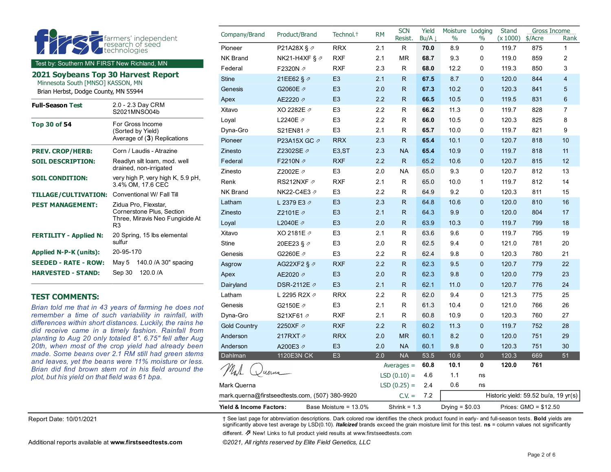|                                             |                                                        | Company/Brand   | Product/Brand             | Technol. <sup>+</sup> | <b>RM</b> | <b>SCN</b>   | Yield |      | Moisture Lodging | Stand    | Gross Income |                |
|---------------------------------------------|--------------------------------------------------------|-----------------|---------------------------|-----------------------|-----------|--------------|-------|------|------------------|----------|--------------|----------------|
| $\overline{\phantom{a}}$                    | farmers' independent                                   |                 |                           |                       |           | Resist.      | Bu/A  | $\%$ | $\frac{0}{0}$    | (x 1000) | \$/Acre      | Rank           |
|                                             | technologies                                           | Pioneer         | P21A28X § 2               | <b>RRX</b>            | 2.1       | R            | 70.0  | 8.9  | $\mathbf 0$      | 119.7    | 875          | $\mathbf{1}$   |
| Test by: Southern MN FIRST New Richland, MN |                                                        | <b>NK Brand</b> | NK21-H4XF § $\varnothing$ | <b>RXF</b>            | 2.1       | <b>MR</b>    | 68.7  | 9.3  | 0                | 119.0    | 859          | 2              |
| 2021 Soybeans Top 30 Harvest Report         |                                                        | Federal         | F2320N 2                  | <b>RXF</b>            | 2.3       | R            | 68.0  | 12.2 | 0                | 119.3    | 850          | 3              |
| Minnesota South [MNSO] KASSON, MN           |                                                        | <b>Stine</b>    | 21EE62 § 2                | E <sub>3</sub>        | 2.1       | R.           | 67.5  | 8.7  | $\mathbf{0}$     | 120.0    | 844          | $\overline{4}$ |
| Brian Herbst, Dodge County, MN 55944        |                                                        | Genesis         | G2060E 2                  | E <sub>3</sub>        | 2.0       | $\mathsf{R}$ | 67.3  | 10.2 | $\mathbf{0}$     | 120.3    | 841          | 5              |
| <b>Full-Season Test</b>                     | 2.0 - 2.3 Day CRM                                      | Apex            | AE2220 2                  | E <sub>3</sub>        | 2.2       | $\mathsf{R}$ | 66.5  | 10.5 | $\mathbf{0}$     | 119.5    | 831          | 6              |
|                                             | S2021MNSO04b                                           | Xitavo          | XO 2282E 2                | E <sub>3</sub>        | 2.2       | R            | 66.2  | 11.3 | 0                | 119.7    | 828          | $\overline{7}$ |
| <b>Top 30 of 54</b>                         | For Gross Income                                       | Loyal           | L2240E 2                  | E <sub>3</sub>        | 2.2       | R            | 66.0  | 10.5 | 0                | 120.3    | 825          | 8              |
|                                             | (Sorted by Yield)<br>Average of (3) Replications       | Dyna-Gro        | S21EN81 2                 | E <sub>3</sub>        | 2.1       | R            | 65.7  | 10.0 | 0                | 119.7    | 821          | 9              |
|                                             |                                                        | Pioneer         | P23A15X GC 2              | <b>RRX</b>            | 2.3       | $\mathsf{R}$ | 65.4  | 10.1 | $\mathbf{0}$     | 120.7    | 818          | 10             |
| <b>PREV. CROP/HERB:</b>                     | Corn / Laudis - Atrazine                               | Zinesto         | Z2302SE ク                 | E <sub>3</sub> , ST   | 2.3       | <b>NA</b>    | 65.4  | 10.9 | $\mathbf{0}$     | 119.7    | 818          | 11             |
| <b>SOIL DESCRIPTION:</b>                    | Readlyn silt loam, mod. well                           | Federal         | F2210N 2                  | <b>RXF</b>            | 2.2       | $\mathsf{R}$ | 65.2  | 10.6 | $\mathbf{0}$     | 120.7    | 815          | 12             |
|                                             | drained, non-irrigated                                 | Zinesto         | Z2002E 2                  | E <sub>3</sub>        | 2.0       | <b>NA</b>    | 65.0  | 9.3  | 0                | 120.7    | 812          | 13             |
| <b>SOIL CONDITION:</b>                      | very high P, very high K, 5.9 pH,<br>3.4% OM, 17.6 CEC | Renk            | RS212NXF 2                | <b>RXF</b>            | 2.1       | R            | 65.0  | 10.0 | $\mathbf{1}$     | 119.7    | 812          | 14             |
| <b>TILLAGE/CULTIVATION:</b>                 | Conventional W/ Fall Till                              | NK Brand        | NK22-C4E3 Ø               | E <sub>3</sub>        | 2.2       | R            | 64.9  | 9.2  | 0                | 120.3    | 811          | 15             |
| <b>PEST MANAGEMENT:</b>                     | Zidua Pro, Flexstar,<br>Cornerstone Plus, Section      | Latham          | L 2379 E3 2               | E <sub>3</sub>        | 2.3       | $\mathsf{R}$ | 64.8  | 10.6 | $\mathbf{0}$     | 120.0    | 810          | 16             |
|                                             |                                                        | Zinesto         | Z2101E 2                  | E <sub>3</sub>        | 2.1       | $\mathsf{R}$ | 64.3  | 9.9  | $\mathbf{0}$     | 120.0    | 804          | 17             |
|                                             | Three, Miravis Neo Fungicide At<br>R <sub>3</sub>      | Loyal           | L2040E 2                  | E <sub>3</sub>        | 2.0       | $\mathsf{R}$ | 63.9  | 10.3 | $\mathbf{0}$     | 119.7    | 799          | 18             |
| <b>FERTILITY - Applied N:</b>               | 20 Spring, 15 lbs elemental                            | Xitavo          | XO 2181E 2                | E <sub>3</sub>        | 2.1       | R            | 63.6  | 9.6  | 0                | 119.7    | 795          | 19             |
|                                             | sulfur                                                 | <b>Stine</b>    | 20EE23 § 2                | E <sub>3</sub>        | 2.0       | R            | 62.5  | 9.4  | 0                | 121.0    | 781          | 20             |
| <b>Applied N-P-K (units):</b>               | 20-95-170                                              | Genesis         | G2260E 2                  | E <sub>3</sub>        | 2.2       | R            | 62.4  | 9.8  | 0                | 120.3    | 780          | 21             |
| <b>SEEDED - RATE - ROW:</b>                 | 140.0 / A 30" spacing<br>May 5                         | Asgrow          | AG22XF2 § $\varphi$       | <b>RXF</b>            | 2.2       | $\mathsf{R}$ | 62.3  | 9.5  | $\mathbf{0}$     | 120.7    | 779          | 22             |
| <b>HARVESTED - STAND:</b>                   | Sep 30<br>120.0 /A                                     | Apex            | AE2020 2                  | E <sub>3</sub>        | 2.0       | $\mathsf{R}$ | 62.3  | 9.8  | $\mathbf{0}$     | 120.0    | 779          | 23             |
|                                             |                                                        | Dairyland       | DSR-2112E ⊉               | E <sub>3</sub>        | 2.1       | $\mathsf{R}$ | 62.1  | 11.0 | $\mathbf{0}$     | 120.7    | 776          | 24             |
| <b>TEST COMMENTS:</b>                       |                                                        | Latham          | L 2295 R2X 2              | <b>RRX</b>            | 2.2       | R.           | 62.0  | 9.4  | 0                | 121.3    | 775          | 25             |
|                                             | Brian told me that in 43 years of farming he does not  | Genesis         | G2150E 2                  | E <sub>3</sub>        | 2.1       | R            | 61.3  | 10.4 | 0                | 121.0    | 766          | 26             |

*Brian told me that in 43 years of farming he does not remember a time of such variability in rainfall, with differences within short distances. Luckily, the rains he did receive came in a timely fashion. Rainfall from planting to Aug 20 only totaled 8". 6.75" fell after Aug 20th, when most of the crop yield had already been made. Some beans over 2.1 RM still had green stems and leaves, yet the beans were 11% moisture or less. Brian did find brown stem rot in his field around the plot, but his yield on that field was 61 bpa.*

Report Date: 10/01/2021 † See last page for abbreviation descriptions. Dark colored row identifies the check product found in early- and full-season tests. **Bold** yields are significantly above test average by LSD(0.10). *Italicized* brands exceed the grain moisture limit for this test. **ns** = column values not significantly

mark.querna@firstseedtests.com, (507) 380-9920 C.V. = 7.2 Historic yield: 59.52 bu/a, 19 yr(s) **Yield & Income Factors:** Base Moisture = 13.0% Shrink = 1.3 Drying = \$0.03 Prices: GMO = \$12.50

Dyna-Gro S21XF61 [⇗](https://www.firstseedtests.com/product-search/?crop=soybean&uuid=9322c8a8-0c97-4e8a-a40a-14afafc12cf9) RXF 2.1 R 60.8 10.9 0 120.3 760 27 Gold Country 2250XF [⇗](https://www.firstseedtests.com/product-search/?crop=soybean&uuid=073023aa-10ae-49c8-993e-1a363bc23a02) RXF 2.2 R 60.2 11.3 0 119.7 752 28 Anderson 217RXT RRX 2.0 MR 60.1 8.2 0 120.0 751 29 Anderson A200E3 [⇗](https://www.firstseedtests.com/product-search/?crop=soybean&uuid=53551bb0-d596-44a2-b9e7-3cd7e28a8601) E3 2.0 NA 60.1 9.8 0 120.3 751 30 Dahlman 1120E3N CK E3 2.0 NA 53.5 10.6 0 120.3 669 51

Averages = **60.8 10.1 0 120.0 761**

 $LSD(0.10) = 4.6$  1.1 ns

different. ⇗ New! Links to full product yield results at www.firstseedtests.com

Mark Querna  $LSD (0.25) = 2.4$  0.6 ns

Additional reports available at **[www.firstseedtests.com](https://www.firstseedtests.com)** *©2021, All rights reserved by Elite Field Genetics, LLC* 

uerna

 $\mu_{\lambda\lambda}$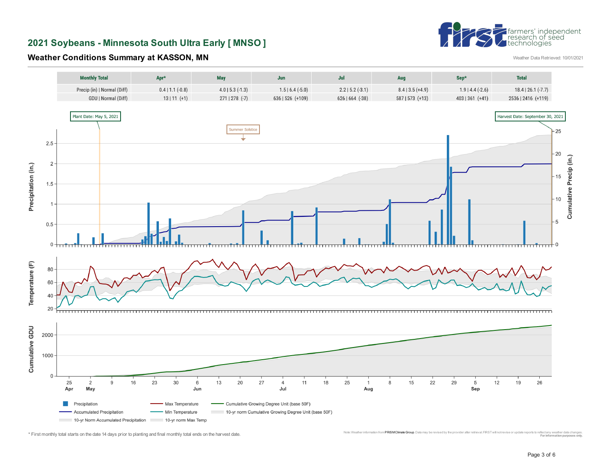## **2021 Soybeans - Minnesota South Ultra Early [ MNSO ]**



**Weather Conditions Summary at KASSON, MN** 

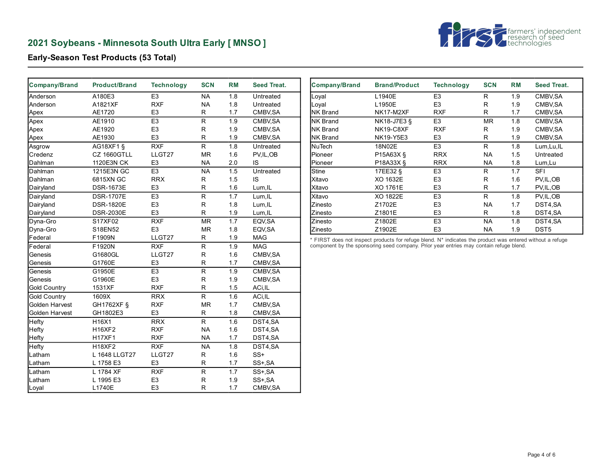# **2021 Soybeans - Minnesota South Ultra Early [ MNSO ]**



**Early-Season Test Products (53 Total)**

| Company/Brand       | <b>Product/Brand</b> | <b>Technology</b> | <b>SCN</b>               | <b>RM</b>                       | Seed Treat. |
|---------------------|----------------------|-------------------|--------------------------|---------------------------------|-------------|
| Anderson            | A180E3               | E <sub>3</sub>    | <b>NA</b>                | 1.8                             | Untreated   |
| Anderson            | A1821XF              | <b>RXF</b>        | <b>NA</b>                | 1.8                             | Untreated   |
| Apex                | AE1720               | E <sub>3</sub>    | R                        | 1.7                             | CMBV, SA    |
| Apex                | AE1910               | E <sub>3</sub>    | $\overline{\mathsf{R}}$  | 1.9                             | CMBV, SA    |
| Apex                | AE1920               | E <sub>3</sub>    | R                        | 1.9                             | CMBV, SA    |
| Apex                | AE1930               | E <sub>3</sub>    | R                        | 1.9                             | CMBV, SA    |
| Asgrow              | AG18XF1 §            | <b>RXF</b>        | $\overline{R}$           | $\overline{1.8}$                | Untreated   |
| Credenz             | CZ 1660GTLL          | LLGT27            | MR                       | 1.6                             | PV, IL, OB  |
| Dahlman             | 1120E3N CK           | E <sub>3</sub>    | <b>NA</b>                | 2.0                             | IS          |
| Dahlman             | 1215E3N GC           | E <sub>3</sub>    | $\overline{\mathsf{NA}}$ | 1.5                             | Untreated   |
| Dahlman             | 6815XN GC            | <b>RRX</b>        | $\mathsf{R}$             | 1.5                             | IS          |
| Dairyland           | <b>DSR-1673E</b>     | E <sub>3</sub>    | R                        | 1.6                             | Lum, IL     |
| Dairyland           | <b>DSR-1707E</b>     | E <sub>3</sub>    | R                        | 1.7                             | Lum, IL     |
| Dairyland           | <b>DSR-1820E</b>     | E <sub>3</sub>    | R                        | 1.8                             | Lum, IL     |
| Dairyland           | <b>DSR-2030E</b>     | E <sub>3</sub>    | R                        | 1.9                             | Lum, IL     |
| Dyna-Gro            | S17XF02              | <b>RXF</b>        | $\overline{\text{MR}}$   | $\overline{1}$ . $\overline{7}$ | EQV, SA     |
| Dyna-Gro            | S18EN52              | E <sub>3</sub>    | <b>MR</b>                | 1.8                             | EQV, SA     |
| Federal             | F1909N               | LLGT27            | R                        | 1.9                             | <b>MAG</b>  |
| Federal             | F1920N               | <b>RXF</b>        | $\overline{\mathsf{R}}$  | 1.9                             | <b>MAG</b>  |
| Genesis             | G1680GL              | LLGT27            | R                        | 1.6                             | CMBV, SA    |
| Genesis             | G1760E               | E <sub>3</sub>    | R                        | 1.7                             | CMBV, SA    |
| Genesis             | G1950E               | E <sub>3</sub>    | $\overline{\mathsf{R}}$  | 1.9                             | CMBV, SA    |
| Genesis             | G1960E               | E <sub>3</sub>    | R                        | 1.9                             | CMBV, SA    |
| <b>Gold Country</b> | 1531XF               | <b>RXF</b>        | R                        | 1.5                             | ACi, IL     |
| <b>Gold Country</b> | 1609X                | <b>RRX</b>        | $\overline{R}$           | 1.6                             | ACi, IL     |
| Golden Harvest      | GH1762XF §           | <b>RXF</b>        | MR                       | 1.7                             | CMBV, SA    |
| Golden Harvest      | GH1802E3             | E <sub>3</sub>    | R                        | 1.8                             | CMBV, SA    |
| Hefty               | H16X1                | <b>RRX</b>        | R                        | 1.6                             | DST4,SA     |
| Hefty               | H16XF2               | <b>RXF</b>        | <b>NA</b>                | 1.6                             | DST4,SA     |
| Hefty               | <b>H17XF1</b>        | <b>RXF</b>        | <b>NA</b>                | 1.7                             | DST4,SA     |
| Hefty               | <b>H18XF2</b>        | <b>RXF</b>        | <b>NA</b>                | 1.8                             | DST4,SA     |
| Latham              | L 1648 LLGT27        | LLGT27            | R                        | 1.6                             | $SS+$       |
| Latham              | L 1758 E3            | E <sub>3</sub>    | R                        | 1.7                             | SS+, SA     |
| Latham              | L 1784 XF            | <b>RXF</b>        | $\mathsf R$              | 1.7                             | SS+, SA     |
| Latham              | L 1995 E3            | E <sub>3</sub>    | R                        | 1.9                             | SS+, SA     |
| Loyal               | L1740E               | E <sub>3</sub>    | R                        | 1.7                             | CMBV, SA    |

| Company/Brand    | <b>Brand/Product</b> | <b>Technology</b> | <b>SCN</b> | <b>RM</b> | Seed Treat.        |
|------------------|----------------------|-------------------|------------|-----------|--------------------|
| Loyal            | L1940E               | E <sub>3</sub>    | R          | 1.9       | CMBV <sub>SA</sub> |
| Loval            | L1950E               | E <sub>3</sub>    | R          | 1.9       | CMBV <sub>SA</sub> |
| <b>NK Brand</b>  | NK17-M2XF            | <b>RXF</b>        | R          | 1.7       | CMBV <sub>SA</sub> |
| INK Brand        | NK18-J7E3 §          | E <sub>3</sub>    | <b>MR</b>  | 1.8       | CMBV, SA           |
| <b>NK Brand</b>  | NK19-C8XF            | <b>RXF</b>        | R          | 1.9       | CMBV <sub>SA</sub> |
| <b>INK Brand</b> | <b>NK19-Y5E3</b>     | E <sub>3</sub>    | R          | 1.9       | CMBV <sub>SA</sub> |
| <b>NuTech</b>    | 18N02E               | E <sub>3</sub>    | R          | 1.8       | Lum, Lu, IL        |
| Pioneer          | P15A63X §            | <b>RRX</b>        | NA.        | 1.5       | Untreated          |
| Pioneer          | P18A33X §            | <b>RRX</b>        | NA.        | 1.8       | Lum, Lu            |
| Stine            | 17EE32 §             | E <sub>3</sub>    | R          | 1.7       | SFI                |
| Xitavo           | XO 1632E             | E <sub>3</sub>    | R          | 1.6       | PV, IL, OB         |
| lXitavo          | XO 1761E             | E <sub>3</sub>    | R          | 1.7       | PV, IL, OB         |
| Xitavo           | XO 1822E             | E <sub>3</sub>    | R          | 1.8       | PV.IL.OB           |
| Zinesto          | Z1702E               | E <sub>3</sub>    | <b>NA</b>  | 1.7       | DST4,SA            |
| Zinesto          | Z1801E               | E <sub>3</sub>    | R          | 1.8       | DST4,SA            |
| Zinesto          | Z1802E               | E <sub>3</sub>    | NA.        | 1.8       | DST4,SA            |
| Zinesto          | Z1902E               | E <sub>3</sub>    | NA.        | 1.9       | DST <sub>5</sub>   |

\* FIRST does not inspect products for refuge blend. N\* indicates the product was entered without a refuge component by the sponsoring seed company. Prior year entries may contain refuge blend.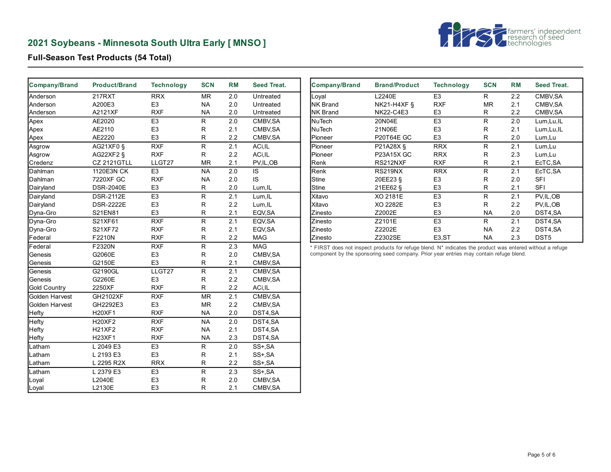# **2021 Soybeans - Minnesota South Ultra Early [ MNSO ]**



**Full-Season Test Products (54 Total)**

| Company/Brand       | <b>Product/Brand</b> | <b>Technology</b> | <b>SCN</b>               | <b>RM</b>        | <b>Seed Treat.</b> |
|---------------------|----------------------|-------------------|--------------------------|------------------|--------------------|
| Anderson            | 217RXT               | <b>RRX</b>        | <b>MR</b>                | 2.0              | Untreated          |
| Anderson            | A200E3               | E <sub>3</sub>    | <b>NA</b>                | 2.0              | Untreated          |
| Anderson            | A2121XF              | <b>RXF</b>        | <b>NA</b>                | 2.0              | Untreated          |
| Apex                | AE2020               | E <sub>3</sub>    | R                        | 2.0              | CMBV, SA           |
| Apex                | AE2110               | E <sub>3</sub>    | R                        | 2.1              | CMBV, SA           |
| Apex                | AE2220               | E <sub>3</sub>    | R                        | 2.2              | CMBV, SA           |
| Asgrow              | AG21XF0 §            | <b>RXF</b>        | $\overline{R}$           | 2.1              | ACi, IL            |
| Asgrow              | AG22XF2 §            | <b>RXF</b>        | $\mathsf R$              | 2.2              | ACi, IL            |
| Credenz             | <b>CZ 2121GTLL</b>   | LLGT27            | <b>MR</b>                | 2.1              | PV, IL, OB         |
| Dahlman             | 1120E3N CK           | E <sub>3</sub>    | $\overline{\mathsf{NA}}$ | 2.0              | IS                 |
| Dahlman             | 7220XF GC            | <b>RXF</b>        | <b>NA</b>                | 2.0              | IS                 |
| Dairyland           | <b>DSR-2040E</b>     | E <sub>3</sub>    | R                        | 2.0              | Lum, IL            |
| Dairyland           | <b>DSR-2112E</b>     | E <sub>3</sub>    | R                        | 2.1              | Lum, IL            |
| Dairyland           | <b>DSR-2222E</b>     | E <sub>3</sub>    | R                        | 2.2              | Lum, IL            |
| Dyna-Gro            | S21EN81              | E <sub>3</sub>    | R                        | 2.1              | EQV, SA            |
| Dyna-Gro            | S21XF61              | <b>RXF</b>        | $\overline{R}$           | $\overline{2.1}$ | EQV, SA            |
| Dyna-Gro            | S21XF72              | <b>RXF</b>        | R                        | 2.1              | EQV, SA            |
| Federal             | F2210N               | <b>RXF</b>        | R                        | 2.2              | <b>MAG</b>         |
| Federal             | F2320N               | <b>RXF</b>        | $\overline{\mathsf{R}}$  | 2.3              | <b>MAG</b>         |
| Genesis             | G2060E               | E <sub>3</sub>    | R                        | 2.0              | CMBV, SA           |
| Genesis             | G2150E               | E <sub>3</sub>    | R                        | 2.1              | CMBV, SA           |
| Genesis             | G2190GL              | LLGT27            | $\overline{\mathsf{R}}$  | 2.1              | CMBV, SA           |
| Genesis             | G2260E               | E <sub>3</sub>    | R                        | 2.2              | CMBV, SA           |
| <b>Gold Country</b> | 2250XF               | <b>RXF</b>        | R                        | 2.2              | ACi, IL            |
| Golden Harvest      | GH2102XF             | <b>RXF</b>        | MR                       | 2.1              | CMBV, SA           |
| Golden Harvest      | GH2292E3             | E <sub>3</sub>    | <b>MR</b>                | 2.2              | CMBV, SA           |
| Hefty               | <b>H20XF1</b>        | <b>RXF</b>        | NA                       | 2.0              | DST4,SA            |
| Hefty               | <b>H20XF2</b>        | <b>RXF</b>        | <b>NA</b>                | 2.0              | DST4,SA            |
| Hefty               | <b>H21XF2</b>        | <b>RXF</b>        | <b>NA</b>                | 2.1              | DST4,SA            |
| Hefty               | H23XF1               | <b>RXF</b>        | <b>NA</b>                | 2.3              | DST4,SA            |
| Latham              | L 2049 E3            | E <sub>3</sub>    | R                        | 2.0              | SS+, SA            |
| Latham              | L 2193 E3            | E <sub>3</sub>    | $\mathsf R$              | 2.1              | SS+, SA            |
| Latham              | L 2295 R2X           | <b>RRX</b>        | $\mathsf R$              | 2.2              | SS+, SA            |
| Latham              | L 2379 E3            | E <sub>3</sub>    | ${\sf R}$                | 2.3              | SS+, SA            |
| Loyal               | L2040E               | E <sub>3</sub>    | R                        | 2.0              | CMBV, SA           |
| Loyal               | L2130E               | E <sub>3</sub>    | $\mathsf{R}$             | 2.1              | CMBV, SA           |

| Company/Brand   | <b>Brand/Product</b> | <b>Technology</b>   | <b>SCN</b> | <b>RM</b> | <b>Seed Treat.</b> |
|-----------------|----------------------|---------------------|------------|-----------|--------------------|
| Loyal           | L2240E               | E <sub>3</sub>      | R          | 2.2       | CMBV,SA            |
| <b>NK Brand</b> | <b>NK21-H4XF §</b>   | <b>RXF</b>          | MR.        | 2.1       | CMBV,SA            |
| <b>NK Brand</b> | <b>NK22-C4E3</b>     | E <sub>3</sub>      | R          | 2.2       | CMBV,SA            |
| lNuTech         | 20N04E               | E <sub>3</sub>      | R          | 2.0       | Lum, Lu, IL        |
| lNuTech         | 21N06E               | E <sub>3</sub>      | R          | 2.1       | Lum, Lu, IL        |
| Pioneer         | <b>P20T64E GC</b>    | E <sub>3</sub>      | R          | 2.0       | Lum, Lu            |
| Pioneer         | P21A28X §            | <b>RRX</b>          | R          | 2.1       | Lum, Lu            |
| Pioneer         | <b>P23A15X GC</b>    | <b>RRX</b>          | R          | 2.3       | Lum, Lu            |
| Renk            | RS212NXF             | <b>RXF</b>          | R          | 2.1       | EcTC, SA           |
| Renk            | RS219NX              | <b>RRX</b>          | R          | 2.1       | EcTC, SA           |
| <b>Stine</b>    | 20EE23 §             | E <sub>3</sub>      | R          | 2.0       | <b>SFI</b>         |
| <b>Stine</b>    | 21EE62 §             | E <sub>3</sub>      | R          | 2.1       | <b>SFI</b>         |
| Xitavo          | XO 2181E             | E <sub>3</sub>      | R          | 2.1       | PV, IL, OB         |
| Xitavo          | XO 2282E             | E <sub>3</sub>      | R          | 2.2       | PV, IL, OB         |
| Zinesto         | Z2002E               | E <sub>3</sub>      | <b>NA</b>  | 2.0       | DST4,SA            |
| Zinesto         | Z2101E               | E <sub>3</sub>      | R          | 2.1       | DST4,SA            |
| Zinesto         | Z2202E               | E <sub>3</sub>      | NA.        | 2.2       | DST4,SA            |
| Zinesto         | Z2302SE              | E <sub>3</sub> , ST | NA         | 2.3       | DST <sub>5</sub>   |

\* FIRST does not inspect products for refuge blend. N\* indicates the product was entered without a refuge component by the sponsoring seed company. Prior year entries may contain refuge blend.